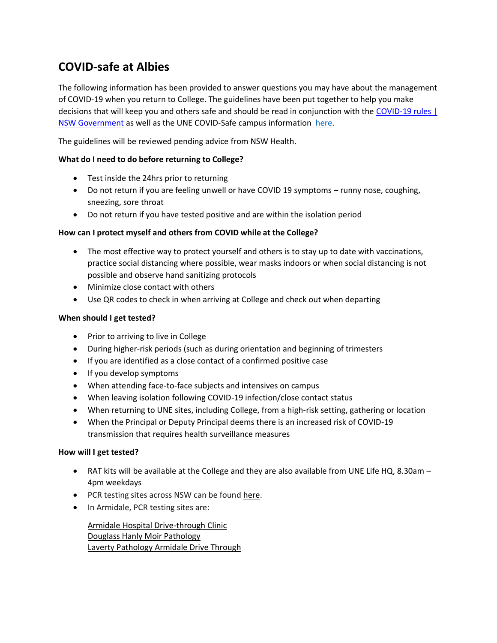# **COVID-safe at Albies**

The following information has been provided to answer questions you may have about the management of COVID-19 when you return to College. The guidelines have been put together to help you make decisions that will keep you and others safe and should be read in conjunction with the [COVID-19 rules |](https://www.nsw.gov.au/covid-19/stay-safe/rules)  [NSW Government](https://www.nsw.gov.au/covid-19/stay-safe/rules) as well as the UNE COVID-Safe campus information [here.](https://www.une.edu.au/coronavirus-information)

The guidelines will be reviewed pending advice from NSW Health.

## **What do I need to do before returning to College?**

- Test inside the 24hrs prior to returning
- Do not return if you are feeling unwell or have COVID 19 symptoms runny nose, coughing, sneezing, sore throat
- Do not return if you have tested positive and are within the isolation period

## **How can I protect myself and others from COVID while at the College?**

- The most effective way to protect yourself and others is to stay up to date with vaccinations, practice social distancing where possible, wear masks indoors or when social distancing is not possible and observe hand sanitizing protocols
- Minimize close contact with others
- Use QR codes to check in when arriving at College and check out when departing

#### **When should I get tested?**

- Prior to arriving to live in College
- During higher-risk periods (such as during orientation and beginning of trimesters
- If you are identified as a close contact of a confirmed positive case
- If you develop symptoms
- When attending face-to-face subjects and intensives on campus
- When leaving isolation following COVID-19 infection/close contact status
- When returning to UNE sites, including College, from a high-risk setting, gathering or location
- When the Principal or Deputy Principal deems there is an increased risk of COVID-19 transmission that requires health surveillance measures

#### **How will I get tested?**

- RAT kits will be available at the College and they are also available from UNE Life HQ, 8.30am 4pm weekdays
- PCR testing sites across NSW can be found [here.](https://aus01.safelinks.protection.outlook.com/?url=https%3A%2F%2Fwww.nsw.gov.au%2Fcovid-19%2Fhealth-and-wellbeing%2Fclinics&data=04%7C01%7Cclane22%40une.edu.au%7C175da6a0cff24de59ac908d947598315%7C3e104c4f8ef24d1483d8bd7d3b46b8db%7C0%7C0%7C637619272937587852%7CUnknown%7CTWFpbGZsb3d8eyJWIjoiMC4wLjAwMDAiLCJQIjoiV2luMzIiLCJBTiI6Ik1haWwiLCJXVCI6Mn0%3D%7C1000&sdata=IyTPPdiPazrWq1kAuja99%2Bh538ZUBzEIurCCLh%2BauBY%3D&reserved=0)
- In Armidale, PCR testing sites are:

Armidale Hospital [Drive-through](https://www.healthdirect.gov.au/australian-health-services/336f762f-25ea-485a-9a2d-8514dce9f0a5/armidale-hospital-drive-through-clinic/services/armidale-2350-226-rusden-street) Clinic Douglass Hanly Moir [Pathology](https://www.dhm.com.au/locations/AR/Armidale) Laverty [Pathology](https://www.une.edu.au/__data/assets/pdf_file/0006/396114/Armidale-Patient-Info-27-October-21.pdf) Armidale Drive Through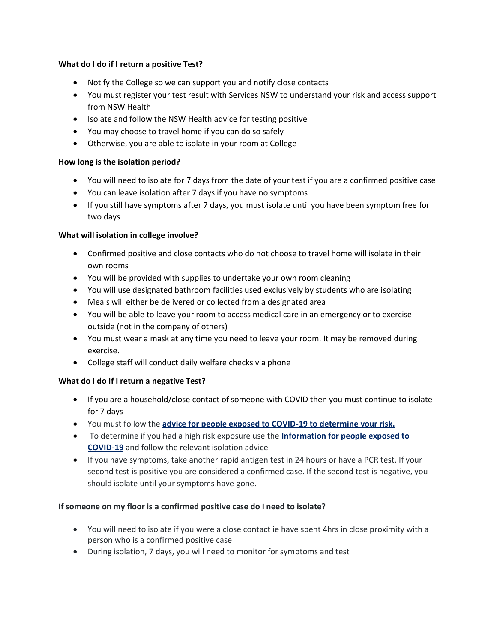## **What do I do if I return a positive Test?**

- Notify the College so we can support you and notify close contacts
- You must register your test result with Services NSW to understand your risk and access support from NSW Health
- Isolate and follow the NSW Health advice for testing positive
- You may choose to travel home if you can do so safely
- Otherwise, you are able to isolate in your room at College

## **How long is the isolation period?**

- You will need to isolate for 7 days from the date of your test if you are a confirmed positive case
- You can leave isolation after 7 days if you have no symptoms
- If you still have symptoms after 7 days, you must isolate until you have been symptom free for two days

## **What will isolation in college involve?**

- Confirmed positive and close contacts who do not choose to travel home will isolate in their own rooms
- You will be provided with supplies to undertake your own room cleaning
- You will use designated bathroom facilities used exclusively by students who are isolating
- Meals will either be delivered or collected from a designated area
- You will be able to leave your room to access medical care in an emergency or to exercise outside (not in the company of others)
- You must wear a mask at any time you need to leave your room. It may be removed during exercise.
- College staff will conduct daily welfare checks via phone

## **What do I do If I return a negative Test?**

- If you are a household/close contact of someone with COVID then you must continue to isolate for 7 days
- You must follow the **[advice for people exposed to COVID-19 to determine your risk.](https://www.nsw.gov.au/covid-19/management/people-exposed-to-covid)**
- To determine if you had a high risk exposure use the **[Information for people exposed to](https://www.nsw.gov.au/covid-19/management/people-exposed-to-covid)  [COVID-19](https://www.nsw.gov.au/covid-19/management/people-exposed-to-covid)** and follow the relevant isolation advice
- If you have symptoms, take another rapid antigen test in 24 hours or have a PCR test. If your second test is positive you are considered a confirmed case. If the second test is negative, you should isolate until your symptoms have gone.

## **If someone on my floor is a confirmed positive case do I need to isolate?**

- You will need to isolate if you were a close contact ie have spent 4hrs in close proximity with a person who is a confirmed positive case
- During isolation, 7 days, you will need to monitor for symptoms and test